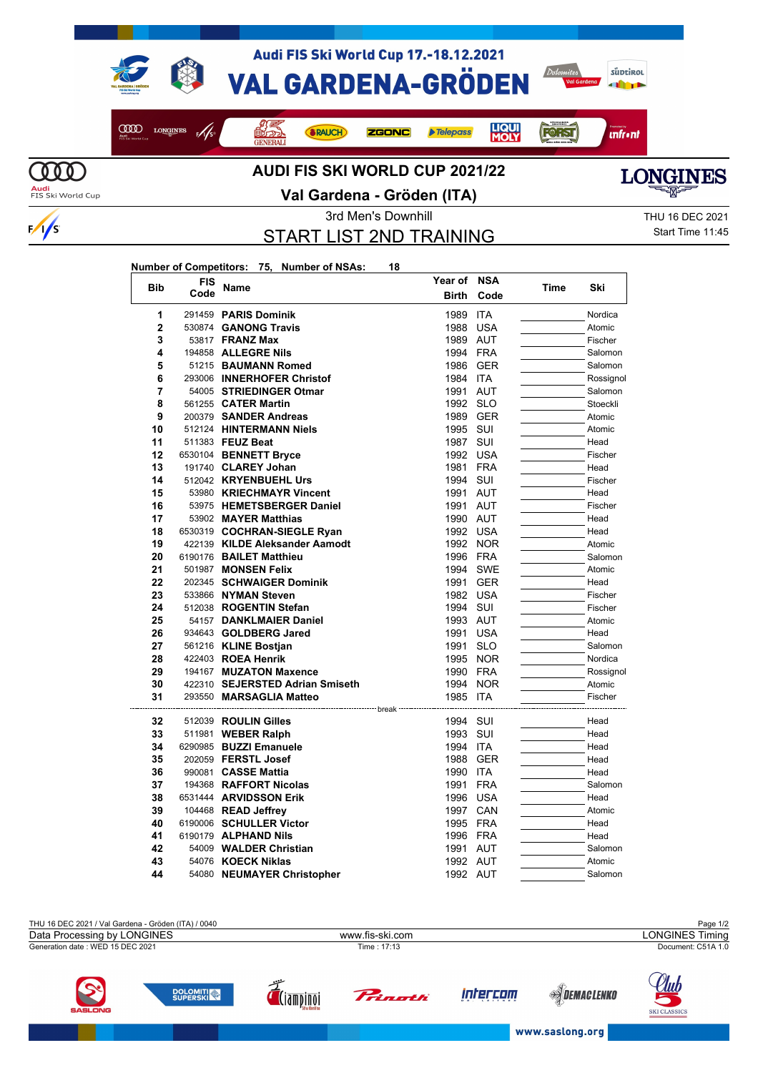



 $\frac{1}{s}$ 

## **Val Gardena - Gröden (ITA)**



START LIST 2ND TRAINING

**Year of NSA**

3rd Men's Downhill 3rd Men's Downhill 3rd Men's Downhill Start Time 11:45

## **Number of Competitors: 75, Number of NSAs: 18**

| <b>Bib</b>     | FIS  | Name                                       | Year of      | <b>NSA</b>               | Time | Ski          |
|----------------|------|--------------------------------------------|--------------|--------------------------|------|--------------|
|                | Code |                                            | <b>Birth</b> | Code                     |      |              |
| 1              |      | 291459 PARIS Dominik                       | 1989         | <b>ITA</b>               |      | Nordica      |
| $\overline{2}$ |      | 530874 GANONG Travis                       | 1988         | <b>USA</b>               |      | Atomic       |
| 3              |      | 53817 FRANZ Max                            | 1989 AUT     |                          |      | Fischer      |
| 4              |      | 194858 ALLEGRE Nils                        | 1994 FRA     |                          |      | Salomon      |
| 5              |      | 51215 BAUMANN Romed                        | 1986         | GER                      |      | Salomon      |
| 6              |      | 293006 INNERHOFER Christof                 | 1984         | <b>ITA</b>               |      | Rossignol    |
| 7              |      | 54005 STRIEDINGER Otmar                    | 1991         | AUT                      |      | Salomon      |
| 8              |      | 561255 CATER Martin                        | 1992 SLO     |                          |      | Stoeckli     |
| 9              |      | 200379 SANDER Andreas                      | 1989         | GER                      |      | Atomic       |
| 10             |      | 512124 HINTERMANN Niels                    | 1995         | SUI                      |      | Atomic       |
| 11             |      | 511383 FEUZ Beat                           | 1987         | SUI                      |      | Head         |
| 12             |      | 6530104 BENNETT Bryce                      | 1992         | <b>USA</b>               |      | Fischer      |
| 13             |      | 191740 CLAREY Johan                        | 1981         | <b>FRA</b>               |      | Head         |
| 14             |      | 512042 KRYENBUEHL Urs                      | 1994         | SUI                      |      | Fischer      |
| 15             |      | 53980 KRIECHMAYR Vincent                   | 1991 AUT     |                          |      | Head         |
| 16             |      | 53975 HEMETSBERGER Daniel                  | 1991 AUT     |                          |      | Fischer      |
| 17             |      | 53902 MAYER Matthias                       | 1990 AUT     |                          |      | Head         |
| 18             |      | 6530319 COCHRAN-SIEGLE Ryan                | 1992 USA     |                          |      | Head         |
| 19             |      | 422139 KILDE Aleksander Aamodt             |              | 1992 NOR                 |      | Atomic       |
| 20             |      | 6190176 BAILET Matthieu                    | 1996         | FRA                      |      | Salomon      |
| 21             |      | 501987 MONSEN Felix                        | 1994         | <b>SWE</b>               |      | Atomic       |
| 22             |      | 202345 SCHWAIGER Dominik                   | 1991 GER     |                          |      | Head         |
| 23             |      | 533866 NYMAN Steven                        | 1982 USA     |                          |      | Fischer      |
| 24             |      | 512038 ROGENTIN Stefan                     | 1994         | SUI                      |      | Fischer      |
| 25             |      | 54157 DANKLMAIER Daniel                    | 1993         | AUT                      |      | Atomic       |
| 26             |      | 934643 GOLDBERG Jared                      | 1991         | <b>USA</b>               |      | Head         |
| 27             |      | 561216 KLINE Bostjan                       | 1991         | <b>SLO</b>               |      | Salomon      |
| 28             |      | 422403 ROEA Henrik                         | 1995         | <b>NOR</b>               |      | Nordica      |
| 29             |      | 194167 MUZATON Maxence                     | 1990         | <b>FRA</b>               |      | Rossignol    |
| 30             |      | 422310 SEJERSTED Adrian Smiseth            | 1994         | <b>NOR</b>               |      | Atomic       |
| 31             |      | 293550 MARSAGLIA Matteo                    | 1985         | <b>ITA</b>               |      | Fischer      |
|                |      |                                            |              |                          |      |              |
| 32<br>33       |      | 512039 ROULIN Gilles                       | 1994<br>1993 | SUI<br>SUI               |      | Head<br>Head |
|                |      | 511981 <b>WEBER Ralph</b>                  |              |                          |      |              |
| 34             |      | 6290985 BUZZI Emanuele                     | 1994 ITA     |                          |      | Head         |
| 35<br>36       |      | 202059 FERSTL Josef<br>990081 CASSE Mattia | 1988<br>1990 | <b>GER</b><br><b>ITA</b> |      | Head<br>Head |
| 37             |      | 194368 RAFFORT Nicolas                     | 1991         | <b>FRA</b>               |      | Salomon      |
| 38             |      |                                            | 1996         | <b>USA</b>               |      |              |
| 39             |      | 6531444 ARVIDSSON Erik                     | 1997 CAN     |                          |      | Head         |
| 40             |      | 104468 READ Jeffrey                        |              |                          |      | Atomic       |
| 41             |      | 6190006 SCHULLER Victor                    | 1995         | <b>FRA</b>               |      | Head         |
| 42             |      | 6190179 ALPHAND Nils                       | 1996 FRA     |                          |      | Head         |
|                |      | 54009 WALDER Christian                     | 1991         | AUT                      |      | Salomon      |
| 43             |      | 54076 KOECK Niklas                         | 1992 AUT     |                          |      | Atomic       |
| 44             |      | 54080 NEUMAYER Christopher                 | 1992 AUT     |                          |      | Salomon      |